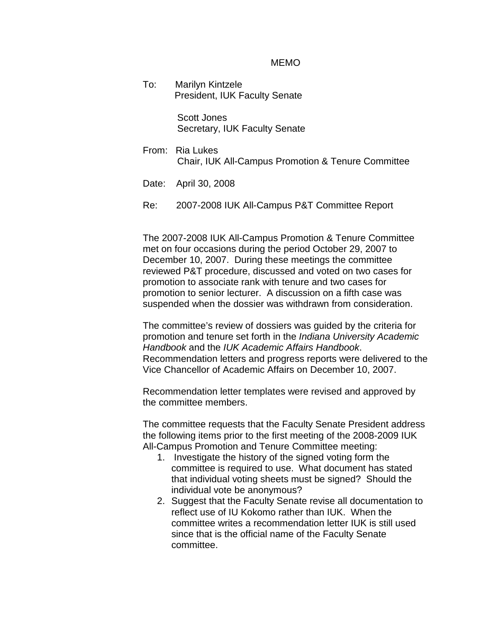## MEMO

To: Marilyn Kintzele President, IUK Faculty Senate

> Scott Jones Secretary, IUK Faculty Senate

- From: Ria Lukes Chair, IUK All-Campus Promotion & Tenure Committee
- Date: April 30, 2008
- Re: 2007-2008 IUK All-Campus P&T Committee Report

The 2007-2008 IUK All-Campus Promotion & Tenure Committee met on four occasions during the period October 29, 2007 to December 10, 2007. During these meetings the committee reviewed P&T procedure, discussed and voted on two cases for promotion to associate rank with tenure and two cases for promotion to senior lecturer. A discussion on a fifth case was suspended when the dossier was withdrawn from consideration.

The committee's review of dossiers was guided by the criteria for promotion and tenure set forth in the *Indiana University Academic Handbook* and the *IUK Academic Affairs Handbook*. Recommendation letters and progress reports were delivered to the Vice Chancellor of Academic Affairs on December 10, 2007.

Recommendation letter templates were revised and approved by the committee members.

The committee requests that the Faculty Senate President address the following items prior to the first meeting of the 2008-2009 IUK All-Campus Promotion and Tenure Committee meeting:

- 1. Investigate the history of the signed voting form the committee is required to use. What document has stated that individual voting sheets must be signed? Should the individual vote be anonymous?
- 2. Suggest that the Faculty Senate revise all documentation to reflect use of IU Kokomo rather than IUK. When the committee writes a recommendation letter IUK is still used since that is the official name of the Faculty Senate committee.